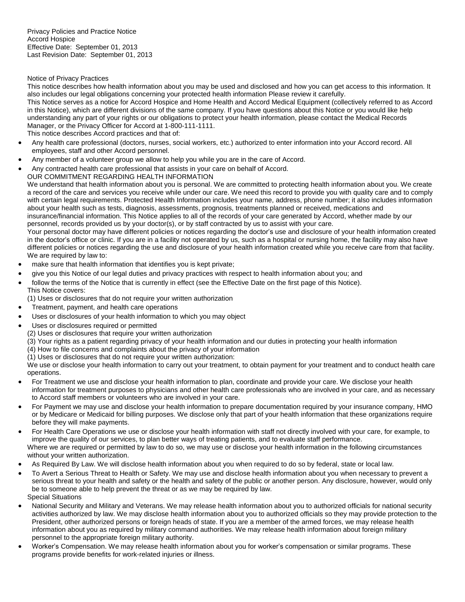Privacy Policies and Practice Notice Accord Hospice Effective Date: September 01, 2013 Last Revision Date: September 01, 2013

## Notice of Privacy Practices

This notice describes how health information about you may be used and disclosed and how you can get access to this information. It also includes our legal obligations concerning your protected health information Please review it carefully.

This Notice serves as a notice for Accord Hospice and Home Health and Accord Medical Equipment (collectively referred to as Accord in this Notice), which are different divisions of the same company. If you have questions about this Notice or you would like help understanding any part of your rights or our obligations to protect your health information, please contact the Medical Records Manager, or the Privacy Officer for Accord at 1-800-111-1111.

This notice describes Accord practices and that of:

- Any health care professional (doctors, nurses, social workers, etc.) authorized to enter information into your Accord record. All employees, staff and other Accord personnel.
- Any member of a volunteer group we allow to help you while you are in the care of Accord.
- Any contracted health care professional that assists in your care on behalf of Accord.

OUR COMMITMENT REGARDING HEALTH INFORMATION

We understand that health information about you is personal. We are committed to protecting health information about you. We create a record of the care and services you receive while under our care. We need this record to provide you with quality care and to comply with certain legal requirements. Protected Health Information includes your name, address, phone number; it also includes information about your health such as tests, diagnosis, assessments, prognosis, treatments planned or received, medications and insurance/financial information. This Notice applies to all of the records of your care generated by Accord, whether made by our personnel, records provided us by your doctor(s), or by staff contracted by us to assist with your care.

Your personal doctor may have different policies or notices regarding the doctor's use and disclosure of your health information created in the doctor's office or clinic. If you are in a facility not operated by us, such as a hospital or nursing home, the facility may also have different policies or notices regarding the use and disclosure of your health information created while you receive care from that facility. We are required by law to:

- make sure that health information that identifies you is kept private;
- give you this Notice of our legal duties and privacy practices with respect to health information about you; and
- follow the terms of the Notice that is currently in effect (see the Effective Date on the first page of this Notice). This Notice covers:
- (1) Uses or disclosures that do not require your written authorization
- Treatment, payment, and health care operations
- Uses or disclosures of your health information to which you may object
- Uses or disclosures required or permitted
	- (2) Uses or disclosures that require your written authorization
	- (3) Your rights as a patient regarding privacy of your health information and our duties in protecting your health information
	- (4) How to file concerns and complaints about the privacy of your information
	- (1) Uses or disclosures that do not require your written authorization:

We use or disclose your health information to carry out your treatment, to obtain payment for your treatment and to conduct health care operations.

- For Treatment we use and disclose your health information to plan, coordinate and provide your care. We disclose your health information for treatment purposes to physicians and other health care professionals who are involved in your care, and as necessary to Accord staff members or volunteers who are involved in your care.
- For Payment we may use and disclose your health information to prepare documentation required by your insurance company, HMO or by Medicare or Medicaid for billing purposes. We disclose only that part of your health information that these organizations require before they will make payments.
- For Health Care Operations we use or disclose your health information with staff not directly involved with your care, for example, to improve the quality of our services, to plan better ways of treating patients, and to evaluate staff performance.

Where we are required or permitted by law to do so, we may use or disclose your health information in the following circumstances without your written authorization.

- As Required By Law. We will disclose health information about you when required to do so by federal, state or local law.
- To Avert a Serious Threat to Health or Safety. We may use and disclose health information about you when necessary to prevent a serious threat to your health and safety or the health and safety of the public or another person. Any disclosure, however, would only be to someone able to help prevent the threat or as we may be required by law. Special Situations
- National Security and Military and Veterans. We may release health information about you to authorized officials for national security activities authorized by law. We may disclose health information about you to authorized officials so they may provide protection to the President, other authorized persons or foreign heads of state. If you are a member of the armed forces, we may release health information about you as required by military command authorities. We may release health information about foreign military personnel to the appropriate foreign military authority.
- Worker's Compensation. We may release health information about you for worker's compensation or similar programs. These programs provide benefits for work-related injuries or illness.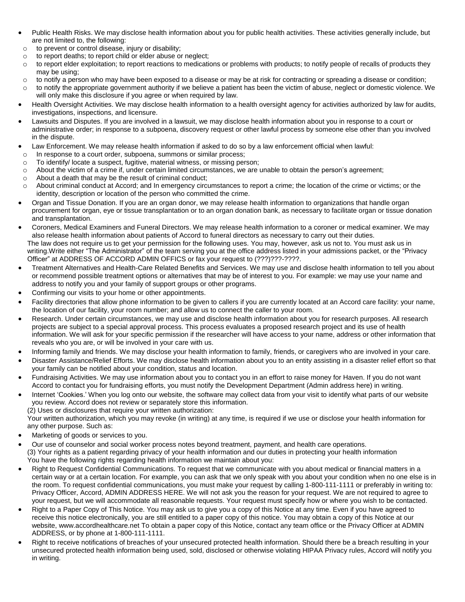- Public Health Risks. We may disclose health information about you for public health activities. These activities generally include, but are not limited to, the following:
- o to prevent or control disease, injury or disability;
- o to report deaths; to report child or elder abuse or neglect;
- $\circ$  to report elder exploitation; to report reactions to medications or problems with products; to notify people of recalls of products they may be using;
- $\circ$  to notify a person who may have been exposed to a disease or may be at risk for contracting or spreading a disease or condition;
- $\circ$  to notify the appropriate government authority if we believe a patient has been the victim of abuse, neglect or domestic violence. We will only make this disclosure if you agree or when required by law.
- Health Oversight Activities. We may disclose health information to a health oversight agency for activities authorized by law for audits, investigations, inspections, and licensure.
- Lawsuits and Disputes. If you are involved in a lawsuit, we may disclose health information about you in response to a court or administrative order; in response to a subpoena, discovery request or other lawful process by someone else other than you involved in the dispute.
- Law Enforcement. We may release health information if asked to do so by a law enforcement official when lawful:
- o In response to a court order, subpoena, summons or similar process;
- o To identify/ locate a suspect, fugitive, material witness, or missing person;
- $\circ$  About the victim of a crime if, under certain limited circumstances, we are unable to obtain the person's agreement;
- o About a death that may be the result of criminal conduct;
- o About criminal conduct at Accord; and In emergency circumstances to report a crime; the location of the crime or victims; or the identity, description or location of the person who committed the crime.
- Organ and Tissue Donation. If you are an organ donor, we may release health information to organizations that handle organ procurement for organ, eye or tissue transplantation or to an organ donation bank, as necessary to facilitate organ or tissue donation and transplantation.
- Coroners, Medical Examiners and Funeral Directors. We may release health information to a coroner or medical examiner. We may also release health information about patients of Accord to funeral directors as necessary to carry out their duties. The law does not require us to get your permission for the following uses. You may, however, ask us not to. You must ask us in writing.Write either "The Administrator" of the team serving you at the office address listed in your admissions packet, or the "Privacy Officer" at ADDRESS OF ACCORD ADMIN OFFICS or fax your request to (???)???-????.
- Treatment Alternatives and Health-Care Related Benefits and Services. We may use and disclose health information to tell you about or recommend possible treatment options or alternatives that may be of interest to you. For example: we may use your name and address to notify you and your family of support groups or other programs.
- Confirming our visits to your home or other appointments.
- Facility directories that allow phone information to be given to callers if you are currently located at an Accord care facility: your name, the location of our facility, your room number; and allow us to connect the caller to your room.
- Research. Under certain circumstances, we may use and disclose health information about you for research purposes. All research projects are subject to a special approval process. This process evaluates a proposed research project and its use of health information. We will ask for your specific permission if the researcher will have access to your name, address or other information that reveals who you are, or will be involved in your care with us.
- Informing family and friends. We may disclose your health information to family, friends, or caregivers who are involved in your care.
- Disaster Assistance/Relief Efforts. We may disclose health information about you to an entity assisting in a disaster relief effort so that your family can be notified about your condition, status and location.
- Fundraising Activities. We may use information about you to contact you in an effort to raise money for Haven. If you do not want Accord to contact you for fundraising efforts, you must notify the Development Department (Admin address here) in writing.
- Internet 'Cookies.' When you log onto our website, the software may collect data from your visit to identify what parts of our website you review. Accord does not review or separately store this information.
- (2) Uses or disclosures that require your written authorization:

Your written authorization, which you may revoke (in writing) at any time, is required if we use or disclose your health information for any other purpose. Such as:

- Marketing of goods or services to you.
- Our use of counselor and social worker process notes beyond treatment, payment, and health care operations. (3) Your rights as a patient regarding privacy of your health information and our duties in protecting your health information You have the following rights regarding health information we maintain about you:
- Right to Request Confidential Communications. To request that we communicate with you about medical or financial matters in a certain way or at a certain location. For example, you can ask that we only speak with you about your condition when no one else is in the room. To request confidential communications, you must make your request by calling 1-800-111-1111 or preferably in writing to: Privacy Officer, Accord, ADMIN ADDRESS HERE. We will not ask you the reason for your request. We are not required to agree to your request, but we will accommodate all reasonable requests. Your request must specify how or where you wish to be contacted.
- Right to a Paper Copy of This Notice. You may ask us to give you a copy of this Notice at any time. Even if you have agreed to receive this notice electronically, you are still entitled to a paper copy of this notice. You may obtain a copy of this Notice at our website, www.accordhealthcare.net To obtain a paper copy of this Notice, contact any team office or the Privacy Officer at ADMIN ADDRESS, or by phone at 1-800-111-1111.
- Right to receive notifications of breaches of your unsecured protected health information. Should there be a breach resulting in your unsecured protected health information being used, sold, disclosed or otherwise violating HIPAA Privacy rules, Accord will notify you in writing.